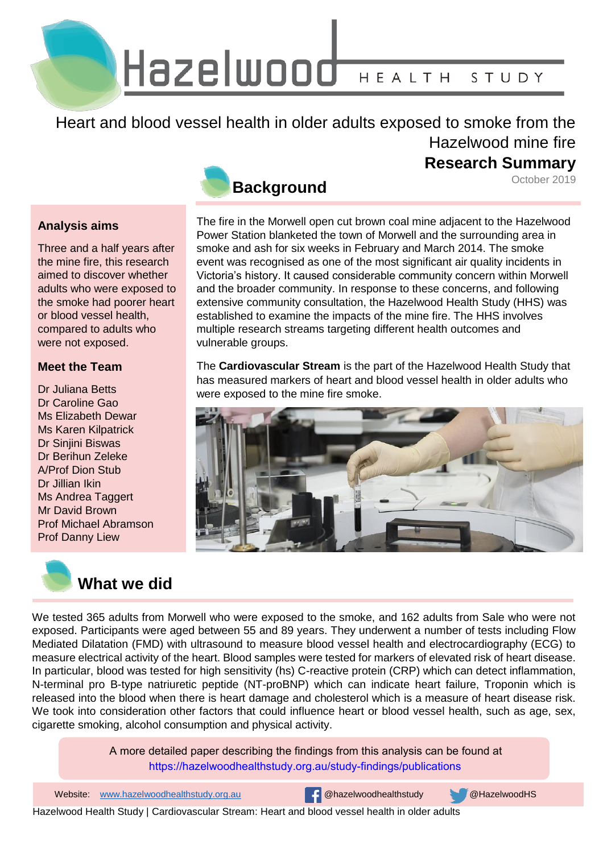Hazelwood HEALTH STUDY

Heart and blood vessel health in older adults exposed to smoke from the Hazelwood mine fire

### **Research Summary**

October 2019

### **Analysis aims**

Three and a half years after the mine fire, this research aimed to discover whether adults who were exposed to the smoke had poorer heart or blood vessel health, compared to adults who were not exposed.

### **Meet the Team**

Dr Juliana Betts Dr Caroline Gao Ms Elizabeth Dewar Ms Karen Kilpatrick Dr Sinjini Biswas Dr Berihun Zeleke A/Prof Dion Stub Dr Jillian Ikin Ms Andrea Taggert Mr David Brown Prof Michael Abramson Prof Danny Liew



The fire in the Morwell open cut brown coal mine adjacent to the Hazelwood Power Station blanketed the town of Morwell and the surrounding area in smoke and ash for six weeks in February and March 2014. The smoke event was recognised as one of the most significant air quality incidents in Victoria's history. It caused considerable community concern within Morwell and the broader community. In response to these concerns, and following extensive community consultation, the Hazelwood Health Study (HHS) was established to examine the impacts of the mine fire. The HHS involves multiple research streams targeting different health outcomes and vulnerable groups.

The **Cardiovascular Stream** is the part of the Hazelwood Health Study that has measured markers of heart and blood vessel health in older adults who were exposed to the mine fire smoke.





We tested 365 adults from Morwell who were exposed to the smoke, and 162 adults from Sale who were not exposed. Participants were aged between 55 and 89 years. They underwent a number of tests including Flow Mediated Dilatation (FMD) with ultrasound to measure blood vessel health and electrocardiography (ECG) to measure electrical activity of the heart. Blood samples were tested for markers of elevated risk of heart disease. In particular, blood was tested for high sensitivity (hs) C-reactive protein (CRP) which can detect inflammation, N-terminal pro B-type natriuretic peptide (NT-proBNP) which can indicate heart failure, Troponin which is released into the blood when there is heart damage and cholesterol which is a measure of heart disease risk. We took into consideration other factors that could influence heart or blood vessel health, such as age, sex, cigarette smoking, alcohol consumption and physical activity.

> A more detailed paper describing the findings from this analysis can be found at <https://hazelwoodhealthstudy.org.au/study-findings/publications>

1 Website: www.hazelwoodhealthstudy.org.au @hazelwoodhealthstudy @HazelwoodHS

Hazelwood Health Study | Cardiovascular Stream: Heart and blood vessel health in older adults